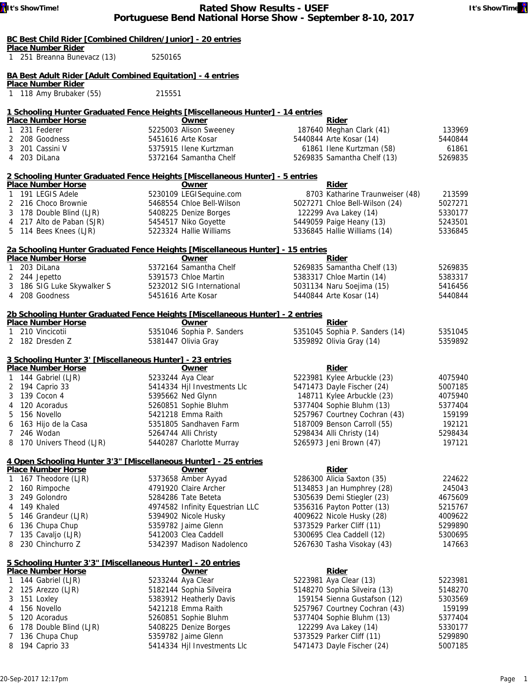| BC Best Child Rider [Combined Children/Junior] - 20 entries |  |  |
|-------------------------------------------------------------|--|--|
| <b>Place Number Rider</b>                                   |  |  |

| Place Number Rider |                             |  |  |  |  |  |  |  |
|--------------------|-----------------------------|--|--|--|--|--|--|--|
|                    | 1 251 Breanna Bunevacz (13) |  |  |  |  |  |  |  |

### **BA Best Adult Rider [Adult Combined Equitation] - 4 entries**

**Place Number Rider** 1 118 Amy Brubaker (55) 215551

## **1 Schooling Hunter Graduated Fence Heights [Miscellaneous Hunter] - 14 entries**

5250165

| <b>Place Number Horse</b>                                                       | Owner                                             | <b>Rider</b>                                             |                    |
|---------------------------------------------------------------------------------|---------------------------------------------------|----------------------------------------------------------|--------------------|
| 1 231 Federer                                                                   | 5225003 Alison Sweeney                            | 187640 Meghan Clark (41)                                 | 133969             |
| 2<br>208 Goodness                                                               | 5451616 Arte Kosar                                | 5440844 Arte Kosar (14)                                  | 5440844            |
| 201 Cassini V<br>3                                                              | 5375915 Ilene Kurtzman                            | 61861 Ilene Kurtzman (58)                                | 61861              |
| 4<br>203 DiLana                                                                 | 5372164 Samantha Chelf                            | 5269835 Samantha Chelf (13)                              | 5269835            |
| 2 Schooling Hunter Graduated Fence Heights [Miscellaneous Hunter] - 5 entries   |                                                   |                                                          |                    |
| <b>Place Number Horse</b>                                                       | Owner                                             | Rider                                                    |                    |
| 1 191 LEGIS Adele                                                               | 5230109 LEGISequine.com                           | 8703 Katharine Traunweiser (48)                          | 213599             |
| 2 216 Choco Brownie                                                             | 5468554 Chloe Bell-Wilson                         | 5027271 Chloe Bell-Wilson (24)                           | 5027271            |
| 3 178 Double Blind (LJR)                                                        | 5408225 Denize Borges                             | 122299 Ava Lakey (14)                                    | 5330177            |
| 4 217 Alto de Paban (SJR)                                                       | 5454517 Niko Goyette                              | 5449059 Paige Heany (13)                                 | 5243501            |
| 5 114 Bees Knees (LJR)                                                          | 5223324 Hallie Williams                           | 5336845 Hallie Williams (14)                             | 5336845            |
| 2a Schooling Hunter Graduated Fence Heights [Miscellaneous Hunter] - 15 entries |                                                   |                                                          |                    |
| <b>Place Number Horse</b>                                                       | Owner                                             | Rider                                                    |                    |
| 203 DiLana<br>$\mathbf{1}$                                                      | 5372164 Samantha Chelf                            | 5269835 Samantha Chelf (13)                              | 5269835            |
| 2<br>244 Jepetto                                                                | 5391573 Chloe Martin                              | 5383317 Chloe Martin (14)                                | 5383317            |
| 186 SIG Luke Skywalker S<br>3                                                   | 5232012 SIG International                         | 5031134 Naru Soejima (15)                                | 5416456            |
| 4 208 Goodness                                                                  | 5451616 Arte Kosar                                | 5440844 Arte Kosar (14)                                  | 5440844            |
| 2b Schooling Hunter Graduated Fence Heights [Miscellaneous Hunter] - 2 entries  |                                                   |                                                          |                    |
| <b>Place Number Horse</b>                                                       | Owner                                             | <b>Rider</b>                                             |                    |
| 210 Vincicotii<br>$\mathbf{1}$                                                  | 5351046 Sophia P. Sanders                         | 5351045 Sophia P. Sanders (14)                           | 5351045            |
| 2 182 Dresden Z                                                                 | 5381447 Olivia Gray                               | 5359892 Olivia Gray (14)                                 | 5359892            |
|                                                                                 |                                                   |                                                          |                    |
| 3 Schooling Hunter 3' [Miscellaneous Hunter] - 23 entries                       |                                                   |                                                          |                    |
| <b>Place Number Horse</b>                                                       | Owner                                             | Rider                                                    |                    |
| 1 144 Gabriel (LJR)<br>2 194 Caprio 33                                          | 5233244 Aya Clear<br>5414334 Hjl Investments Llc  | 5223981 Kylee Arbuckle (23)                              | 4075940<br>5007185 |
| 139 Cocon 4<br>3                                                                | 5395662 Ned Glynn                                 | 5471473 Dayle Fischer (24)<br>148711 Kylee Arbuckle (23) | 4075940            |
| 120 Acoradus<br>4                                                               | 5260851 Sophie Bluhm                              | 5377404 Sophie Bluhm (13)                                | 5377404            |
| 156 Novello<br>5                                                                | 5421218 Emma Raith                                | 5257967 Courtney Cochran (43)                            | 159199             |
| 163 Hijo de la Casa<br>6                                                        | 5351805 Sandhaven Farm                            | 5187009 Benson Carroll (55)                              | 192121             |
| $\overline{7}$<br>246 Wodan                                                     | 5264744 Alli Christy                              | 5298434 Alli Christy (14)                                | 5298434            |
| 170 Univers Theod (LJR)<br>8                                                    | 5440287 Charlotte Murray                          | 5265973 Jeni Brown (47)                                  | 197121             |
|                                                                                 |                                                   |                                                          |                    |
| 4 Open Schooling Hunter 3'3" [Miscellaneous Hunter] - 25 entries                |                                                   |                                                          |                    |
| <b>Place Number Horse</b>                                                       | Owner                                             | <b>Rider</b>                                             |                    |
| 167 Theodore (LJR)<br>$\mathbf{1}$                                              | 5373658 Amber Ayyad                               | 5286300 Alicia Saxton (35)                               | 224622             |
| 160 Rimpoche<br>2                                                               | 4791920 Claire Archer                             | 5134853 Jan Humphrey (28)                                | 245043             |
| 249 Golondro<br>3                                                               | 5284286 Tate Beteta                               | 5305639 Demi Stiegler (23)                               | 4675609            |
| 149 Khaled<br>4                                                                 | 4974582 Infinity Equestrian LLC                   | 5356316 Payton Potter (13)                               | 5215767            |
| 146 Grandeur (LJR)<br>5                                                         | 5394902 Nicole Husky                              | 4009622 Nicole Husky (28)                                | 4009622            |
| 136 Chupa Chup<br>6                                                             | 5359782 Jaime Glenn                               | 5373529 Parker Cliff (11)                                | 5299890            |
| 135 Cavaljo (LJR)<br>7                                                          | 5412003 Clea Caddell<br>5342397 Madison Nadolenco | 5300695 Clea Caddell (12)                                | 5300695            |
| 230 Chinchurro Z<br>8                                                           |                                                   | 5267630 Tasha Visokay (43)                               | 147663             |
| 5 Schooling Hunter 3'3" [Miscellaneous Hunter] - 20 entries                     |                                                   |                                                          |                    |
| <b>Place Number Horse</b>                                                       | Owner                                             | Rider                                                    |                    |
| 144 Gabriel (LJR)<br>1                                                          | 5233244 Aya Clear                                 | 5223981 Aya Clear (13)                                   | 5223981            |
| 125 Arezzo (LJR)<br>2                                                           | 5182144 Sophia Silveira                           | 5148270 Sophia Silveira (13)                             | 5148270            |
| 151 Loxley<br>3                                                                 | 5383912 Heatherly Davis                           | 159154 Sienna Gustafson (12)                             | 5303569            |
| 156 Novello<br>4                                                                | 5421218 Emma Raith                                | 5257967 Courtney Cochran (43)                            | 159199             |



| 1 144 Gabriel (LJR)      | 5233244 Aya Clear           | 5223981 Aya Clear (13)        | 5223981 |
|--------------------------|-----------------------------|-------------------------------|---------|
| 2 125 Arezzo (LJR)       | 5182144 Sophia Silveira     | 5148270 Sophia Silveira (13)  | 5148270 |
| 3 151 Loxley             | 5383912 Heatherly Davis     | 159154 Sienna Gustafson (12)  | 5303569 |
| 4 156 Novello            | 5421218 Emma Raith          | 5257967 Courtney Cochran (43) | 159199  |
| 5 120 Acoradus           | 5260851 Sophie Bluhm        | 5377404 Sophie Bluhm (13)     | 5377404 |
| 6 178 Double Blind (LJR) | 5408225 Denize Borges       | 122299 Ava Lakey (14)         | 5330177 |
| 7 136 Chupa Chup         | 5359782 Jaime Glenn         | 5373529 Parker Cliff (11)     | 5299890 |
| 8 194 Caprio 33          | 5414334 Hjl Investments Llc | 5471473 Dayle Fischer (24)    | 5007185 |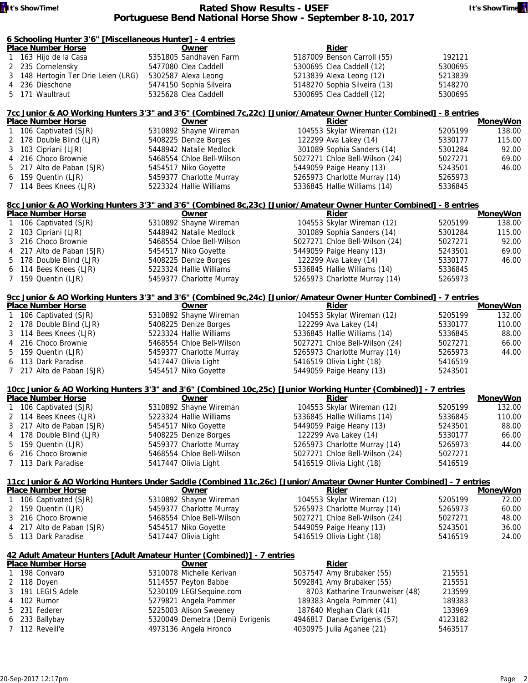#### **If** It's ShowTime! **Rated Show Results - USEF It's ShowTime Portuguese Bend National Horse Show - September 8-10, 2017**

| 6 Schoolina Hunter 3'6" [Miscellaneous Hunter] - 4 entries |  |  |  |
|------------------------------------------------------------|--|--|--|

| <u><b><u>b Schooling Hunter 3 of</u></b> Imiscendiffeous Hunter   - 4 Entries</u> |                         |                              |         |
|-----------------------------------------------------------------------------------|-------------------------|------------------------------|---------|
| <b>Place Number Horse</b>                                                         | Owner                   | Rider                        |         |
| 1 163 Hijo de la Casa                                                             | 5351805 Sandhaven Farm  | 5187009 Benson Carroll (55)  | 192121  |
| 2 235 Cornelensky                                                                 | 5477080 Clea Caddell    | 5300695 Clea Caddell (12)    | 5300695 |
| 3 148 Hertogin Ter Drie Leien (LRG)                                               | 5302587 Alexa Leong     | 5213839 Alexa Leong (12)     | 5213839 |
| 4 236 Dieschone                                                                   | 5474150 Sophia Silveira | 5148270 Sophia Silveira (13) | 5148270 |
| 5 171 Waultraut                                                                   | 5325628 Clea Caddell    | 5300695 Clea Caddell (12)    | 5300695 |
|                                                                                   |                         |                              |         |

| 7cc Junior & AO Working Hunters 3'3" and 3'6" (Combined 7c,22c) [Junior/Amateur Owner Hunter Combined] - 8 entries |                           |                                |         |                 |
|--------------------------------------------------------------------------------------------------------------------|---------------------------|--------------------------------|---------|-----------------|
| <b>Place Number Horse</b>                                                                                          | Owner                     | Rider                          |         | <b>MoneyWon</b> |
| 1 106 Captivated (SJR)                                                                                             | 5310892 Shayne Wireman    | 104553 Skylar Wireman (12)     | 5205199 | 138.00          |
| 2 178 Double Blind (LJR)                                                                                           | 5408225 Denize Borges     | 122299 Ava Lakey (14)          | 5330177 | 115.00          |
| 3 103 Cipriani (LJR)                                                                                               | 5448942 Natalie Medlock   | 301089 Sophia Sanders (14)     | 5301284 | 92.00           |
| 4 216 Choco Brownie                                                                                                | 5468554 Chloe Bell-Wilson | 5027271 Chloe Bell-Wilson (24) | 5027271 | 69.00           |
| 5 217 Alto de Paban (SJR)                                                                                          | 5454517 Niko Goyette      | 5449059 Paige Heany (13)       | 5243501 | 46.00           |
| 6 159 Quentin (LJR)                                                                                                | 5459377 Charlotte Murray  | 5265973 Charlotte Murray (14)  | 5265973 |                 |
| 7 114 Bees Knees (LJR)                                                                                             | 5223324 Hallie Williams   | 5336845 Hallie Williams (14)   | 5336845 |                 |

#### **8cc Junior & AO Working Hunters 3'3" and 3'6" (Combined 8c,23c) [Junior/Amateur Owner Hunter Combined] - 8 entries<br>Place Number Horse <b>1998 11 106 Captivated (SIR)** 5310892 Shayne Wireman 104553 Skylar Wireman (12) 5205 **Prime Rider MoneyWon**<br>104553 Skylar Wireman (12) 5205199 138.00 **1 Owner**<br>5310892 Shayne Wireman

| T TU6 Captivated (SJR)    | 5310892 Shayne Wireman    | 104553 Skylar Wireman (12)     | 5205199 | 138.00 |
|---------------------------|---------------------------|--------------------------------|---------|--------|
| 2 103 Cipriani (LJR)      | 5448942 Natalie Medlock   | 301089 Sophia Sanders (14)     | 5301284 | 115.00 |
| 3 216 Choco Brownie       | 5468554 Chloe Bell-Wilson | 5027271 Chloe Bell-Wilson (24) | 5027271 | 92.00  |
| 4 217 Alto de Paban (SJR) | 5454517 Niko Goyette      | 5449059 Paige Heany (13)       | 5243501 | 69.00  |
| 5 178 Double Blind (LJR)  | 5408225 Denize Borges     | 122299 Ava Lakey (14)          | 5330177 | 46.00  |
| 6 114 Bees Knees (LJR)    | 5223324 Hallie Williams   | 5336845 Hallie Williams (14)   | 5336845 |        |
| 7 159 Quentin (LJR)       | 5459377 Charlotte Murray  | 5265973 Charlotte Murray (14)  | 5265973 |        |
|                           |                           |                                |         |        |

# **9cc Junior & AO Working Hunters 3'3" and 3'6" (Combined 9c,24c) [Junior/Amateur Owner Hunter Combined] - 7 entries**

| <b>Place Number Horse</b> |                           | Owner                     | Rider                          |         | MoneyWon |  |
|---------------------------|---------------------------|---------------------------|--------------------------------|---------|----------|--|
|                           | 1 106 Captivated (SJR)    | 5310892 Shayne Wireman    | 104553 Skylar Wireman (12)     | 5205199 | 132.00   |  |
|                           | 2 178 Double Blind (LJR)  | 5408225 Denize Borges     | 122299 Ava Lakey (14)          | 5330177 | 110.00   |  |
|                           | 3 114 Bees Knees (LJR)    | 5223324 Hallie Williams   | 5336845 Hallie Williams (14)   | 5336845 | 88.00    |  |
|                           | 4 216 Choco Brownie       | 5468554 Chloe Bell-Wilson | 5027271 Chloe Bell-Wilson (24) | 5027271 | 66.00    |  |
|                           | 5 159 Quentin (LJR)       | 5459377 Charlotte Murray  | 5265973 Charlotte Murray (14)  | 5265973 | 44.00    |  |
|                           | 6 113 Dark Paradise       | 5417447 Olivia Light      | 5416519 Olivia Light (18)      | 5416519 |          |  |
|                           | 7 217 Alto de Paban (SJR) | 5454517 Niko Goyette      | 5449059 Paige Heany (13)       | 5243501 |          |  |

|                           | 10cc Junior & AO Working Hunters 3'3" and 3'6" (Combined 10c,25c) [Junior Working Hunter (Combined)] - 7 entries |  |                           |                                |         |          |
|---------------------------|------------------------------------------------------------------------------------------------------------------|--|---------------------------|--------------------------------|---------|----------|
| <b>Place Number Horse</b> |                                                                                                                  |  | Owner                     | Rider                          |         | MoneyWon |
|                           | 1 106 Captivated (SJR)                                                                                           |  | 5310892 Shayne Wireman    | 104553 Skylar Wireman (12)     | 5205199 | 132.00   |
|                           | 2 114 Bees Knees (LJR)                                                                                           |  | 5223324 Hallie Williams   | 5336845 Hallie Williams (14)   | 5336845 | 110.00   |
|                           | 3 217 Alto de Paban (SJR)                                                                                        |  | 5454517 Niko Goyette      | 5449059 Paige Heany (13)       | 5243501 | 88.00    |
|                           | 4 178 Double Blind (LJR)                                                                                         |  | 5408225 Denize Borges     | 122299 Ava Lakey (14)          | 5330177 | 66.00    |
|                           | 5 159 Quentin (LJR)                                                                                              |  | 5459377 Charlotte Murray  | 5265973 Charlotte Murray (14)  | 5265973 | 44.00    |
|                           | 6 216 Choco Brownie                                                                                              |  | 5468554 Chloe Bell-Wilson | 5027271 Chloe Bell-Wilson (24) | 5027271 |          |
|                           | 7 113 Dark Paradise                                                                                              |  | 5417447 Olivia Light      | 5416519 Olivia Light (18)      | 5416519 |          |

| 11cc Junior & AO Working Hunters Under Saddle (Combined 11c, 26c) [Junior/Amateur Owner Hunter Combined] - 7 entries |                                                                        |                                 |         |                 |  |  |  |  |  |
|----------------------------------------------------------------------------------------------------------------------|------------------------------------------------------------------------|---------------------------------|---------|-----------------|--|--|--|--|--|
| <b>Place Number Horse</b>                                                                                            | Owner                                                                  | <b>Rider</b>                    |         | <b>MoneyWon</b> |  |  |  |  |  |
| 1 106 Captivated (SJR)                                                                                               | 5310892 Shayne Wireman                                                 | 104553 Skylar Wireman (12)      | 5205199 | 72.00           |  |  |  |  |  |
| 2 159 Quentin (LJR)                                                                                                  | 5459377 Charlotte Murray                                               | 5265973 Charlotte Murray (14)   | 5265973 | 60.00           |  |  |  |  |  |
| 3 216 Choco Brownie                                                                                                  | 5468554 Chloe Bell-Wilson                                              | 5027271 Chloe Bell-Wilson (24)  | 5027271 | 48.00           |  |  |  |  |  |
| 4 217 Alto de Paban (SJR)                                                                                            | 5454517 Niko Goyette                                                   | 5449059 Paige Heany (13)        | 5243501 | 36.00           |  |  |  |  |  |
| 5 113 Dark Paradise                                                                                                  | 5417447 Olivia Light                                                   | 5416519 Olivia Light (18)       | 5416519 | 24.00           |  |  |  |  |  |
|                                                                                                                      |                                                                        |                                 |         |                 |  |  |  |  |  |
|                                                                                                                      | 42 Adult Amateur Hunters [Adult Amateur Hunter (Combined)] - 7 entries |                                 |         |                 |  |  |  |  |  |
| <b>Place Number Horse</b>                                                                                            | Owner                                                                  | Rider                           |         |                 |  |  |  |  |  |
| 1 198 Convaro                                                                                                        | 5310078 Michelle Kerivan                                               | 5037547 Amy Brubaker (55)       | 215551  |                 |  |  |  |  |  |
| 2 118 Doyen                                                                                                          | 5114557 Peyton Babbe                                                   | 5092841 Amy Brubaker (55)       | 215551  |                 |  |  |  |  |  |
| 3 191 LEGIS Adele                                                                                                    | 5230109 LEGISequine.com                                                | 8703 Katharine Traunweiser (48) | 213599  |                 |  |  |  |  |  |
| 4 102 Rumor                                                                                                          | 5279821 Angela Pommer                                                  | 189383 Angela Pommer (41)       | 189383  |                 |  |  |  |  |  |
| 5 231 Federer                                                                                                        | 5225003 Alison Sweeney                                                 | 187640 Meghan Clark (41)        | 133969  |                 |  |  |  |  |  |
| 6 233 Ballybay                                                                                                       | 5320049 Demetra (Demi) Evrigenis                                       | 4946817 Danae Evrigenis (57)    | 4123182 |                 |  |  |  |  |  |
| 7 112 Reveill'e                                                                                                      | 4973136 Angela Hronco                                                  | 4030975 Julia Agahee (21)       | 5463517 |                 |  |  |  |  |  |

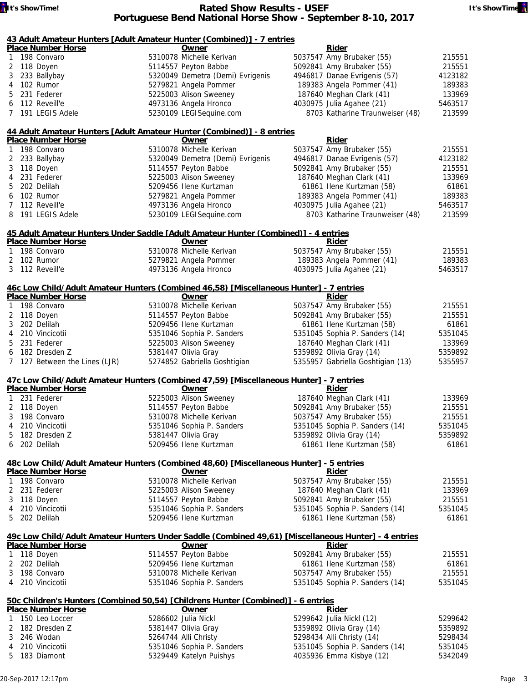|              |           | <u> 43 Adult Amateur Hunters  Adult Amateur Hunter (Combined)  - 7 entries</u> |                                                                                                               |                                   |         |
|--------------|-----------|--------------------------------------------------------------------------------|---------------------------------------------------------------------------------------------------------------|-----------------------------------|---------|
|              |           | <b>Place Number Horse</b>                                                      | Owner                                                                                                         | Rider                             |         |
| $\mathbf{1}$ |           | 198 Convaro                                                                    | 5310078 Michelle Kerivan                                                                                      | 5037547 Amy Brubaker (55)         | 215551  |
|              |           | 2 118 Doyen                                                                    | 5114557 Peyton Babbe                                                                                          | 5092841 Amy Brubaker (55)         | 215551  |
| 3            |           | 233 Ballybay                                                                   | 5320049 Demetra (Demi) Evrigenis                                                                              | 4946817 Danae Evrigenis (57)      | 4123182 |
| 4            |           | 102 Rumor                                                                      | 5279821 Angela Pommer                                                                                         | 189383 Angela Pommer (41)         | 189383  |
| 5.           |           | 231 Federer                                                                    | 5225003 Alison Sweeney                                                                                        | 187640 Meghan Clark (41)          | 133969  |
|              |           | 6 112 Reveill'e                                                                | 4973136 Angela Hronco                                                                                         | 4030975 Julia Agahee (21)         | 5463517 |
|              |           | 7 191 LEGIS Adele                                                              | 5230109 LEGISequine.com                                                                                       | 8703 Katharine Traunweiser (48)   | 213599  |
|              |           |                                                                                |                                                                                                               |                                   |         |
|              |           |                                                                                | 44 Adult Amateur Hunters [Adult Amateur Hunter (Combined)] - 8 entries                                        |                                   |         |
|              |           | <b>Place Number Horse</b>                                                      | Owner                                                                                                         | <b>Rider</b>                      |         |
| $\mathbf{1}$ |           | 198 Convaro                                                                    | 5310078 Michelle Kerivan                                                                                      | 5037547 Amy Brubaker (55)         | 215551  |
|              |           | 2 233 Ballybay                                                                 | 5320049 Demetra (Demi) Evrigenis                                                                              | 4946817 Danae Evrigenis (57)      | 4123182 |
| 3            |           | 118 Doyen                                                                      | 5114557 Peyton Babbe                                                                                          | 5092841 Amy Brubaker (55)         | 215551  |
| 4            |           | 231 Federer                                                                    | 5225003 Alison Sweeney                                                                                        | 187640 Meghan Clark (41)          | 133969  |
| 5            |           | 202 Delilah                                                                    | 5209456 Ilene Kurtzman                                                                                        | 61861 Ilene Kurtzman (58)         | 61861   |
|              |           | 6 102 Rumor                                                                    | 5279821 Angela Pommer                                                                                         | 189383 Angela Pommer (41)         | 189383  |
| 7            |           | 112 Reveill'e                                                                  | 4973136 Angela Hronco                                                                                         | 4030975 Julia Agahee (21)         | 5463517 |
| 8            |           | 191 LEGIS Adele                                                                | 5230109 LEGISequine.com                                                                                       | 8703 Katharine Traunweiser (48)   | 213599  |
|              |           |                                                                                |                                                                                                               |                                   |         |
|              |           |                                                                                | 45 Adult Amateur Hunters Under Saddle [Adult Amateur Hunter (Combined)] - 4 entries                           |                                   |         |
|              |           | <b>Place Number Horse</b>                                                      | Owner                                                                                                         | Rider                             |         |
|              |           | 1 198 Convaro                                                                  | 5310078 Michelle Kerivan                                                                                      | 5037547 Amy Brubaker (55)         | 215551  |
|              |           | 2 102 Rumor                                                                    | 5279821 Angela Pommer                                                                                         | 189383 Angela Pommer (41)         | 189383  |
|              |           | 3 112 Reveill'e                                                                | 4973136 Angela Hronco                                                                                         | 4030975 Julia Agahee (21)         | 5463517 |
|              |           |                                                                                |                                                                                                               |                                   |         |
|              |           | <b>Place Number Horse</b>                                                      | 46c Low Child/Adult Amateur Hunters (Combined 46,58) [Miscellaneous Hunter] - 7 entries<br>Owner              | Rider                             |         |
| 1            |           | 198 Convaro                                                                    | 5310078 Michelle Kerivan                                                                                      | 5037547 Amy Brubaker (55)         | 215551  |
|              |           | 2 118 Doyen                                                                    | 5114557 Peyton Babbe                                                                                          | 5092841 Amy Brubaker (55)         | 215551  |
|              |           | 202 Delilah                                                                    | 5209456 Ilene Kurtzman                                                                                        |                                   |         |
| 3            |           |                                                                                |                                                                                                               | 61861 Ilene Kurtzman (58)         | 61861   |
| 4            |           | 210 Vincicotii                                                                 | 5351046 Sophia P. Sanders                                                                                     | 5351045 Sophia P. Sanders (14)    | 5351045 |
| 5.           |           | 231 Federer                                                                    | 5225003 Alison Sweeney                                                                                        | 187640 Meghan Clark (41)          | 133969  |
|              |           | 6 182 Dresden Z                                                                | 5381447 Olivia Gray                                                                                           | 5359892 Olivia Gray (14)          | 5359892 |
|              |           | 7 127 Between the Lines (LJR)                                                  | 5274852 Gabriella Goshtigian                                                                                  | 5355957 Gabriella Goshtigian (13) | 5355957 |
|              |           |                                                                                | 47c Low Child/Adult Amateur Hunters (Combined 47,59) [Miscellaneous Hunter] - 7 entries                       |                                   |         |
|              |           | <b>Place Number Horse</b>                                                      | Owner                                                                                                         | Rider                             |         |
| 1            |           | 231 Federer                                                                    | 5225003 Alison Sweeney                                                                                        | 187640 Meghan Clark (41)          | 133969  |
|              |           | 2 118 Doyen                                                                    | 5114557 Peyton Babbe                                                                                          | 5092841 Amy Brubaker (55)         | 215551  |
|              |           | 3 198 Convaro                                                                  | 5310078 Michelle Kerivan                                                                                      | 5037547 Amy Brubaker (55)         | 215551  |
|              |           | 4 210 Vincicotii                                                               | 5351046 Sophia P. Sanders                                                                                     | 5351045 Sophia P. Sanders (14)    | 5351045 |
| 5            |           | 182 Dresden Z                                                                  | 5381447 Olivia Gray                                                                                           | 5359892 Olivia Gray (14)          | 5359892 |
| 6            |           | 202 Delilah                                                                    | 5209456 Ilene Kurtzman                                                                                        | 61861 Ilene Kurtzman (58)         | 61861   |
|              |           |                                                                                |                                                                                                               |                                   |         |
|              |           |                                                                                | 48c Low Child/Adult Amateur Hunters (Combined 48,60) [Miscellaneous Hunter] - 5 entries                       |                                   |         |
|              |           | <b>Place Number Horse</b>                                                      | Owner                                                                                                         | Rider                             |         |
| 1            |           | 198 Convaro                                                                    | 5310078 Michelle Kerivan                                                                                      | 5037547 Amy Brubaker (55)         | 215551  |
|              |           | 2 231 Federer                                                                  | 5225003 Alison Sweeney                                                                                        | 187640 Meghan Clark (41)          | 133969  |
| 3            | 118 Doyen |                                                                                | 5114557 Peyton Babbe                                                                                          | 5092841 Amy Brubaker (55)         | 215551  |
| 4            |           | 210 Vincicotii                                                                 | 5351046 Sophia P. Sanders                                                                                     | 5351045 Sophia P. Sanders (14)    | 5351045 |
| 5            |           | 202 Delilah                                                                    | 5209456 Ilene Kurtzman                                                                                        | 61861 Ilene Kurtzman (58)         | 61861   |
|              |           |                                                                                |                                                                                                               |                                   |         |
|              |           | <b>Place Number Horse</b>                                                      | 49c Low Child/Adult Amateur Hunters Under Saddle (Combined 49,61) [Miscellaneous Hunter] - 4 entries<br>Owner | Rider                             |         |
| 1            |           | 118 Doyen                                                                      | 5114557 Peyton Babbe                                                                                          | 5092841 Amy Brubaker (55)         | 215551  |
|              |           |                                                                                |                                                                                                               |                                   |         |
| 2            |           | 202 Delilah                                                                    | 5209456 Ilene Kurtzman                                                                                        | 61861 Ilene Kurtzman (58)         | 61861   |
| 3            |           | 198 Convaro                                                                    | 5310078 Michelle Kerivan                                                                                      | 5037547 Amy Brubaker (55)         | 215551  |
| 4            |           | 210 Vincicotii                                                                 | 5351046 Sophia P. Sanders                                                                                     | 5351045 Sophia P. Sanders (14)    | 5351045 |
|              |           |                                                                                | 50c Children's Hunters (Combined 50,54) [Childrens Hunter (Combined)] - 6 entries                             |                                   |         |
|              |           | <b>Place Number Horse</b>                                                      | Owner                                                                                                         | <b>Rider</b>                      |         |
| 1            |           | 150 Leo Loccer                                                                 | 5286602 Julia Nickl                                                                                           | 5299642 Julia Nickl (12)          | 5299642 |
| 2            |           | 182 Dresden Z                                                                  | 5381447 Olivia Gray                                                                                           | 5359892 Olivia Gray (14)          | 5359892 |
| 3            |           | 246 Wodan                                                                      | 5264744 Alli Christy                                                                                          | 5298434 Alli Christy (14)         | 5298434 |
| 4            |           | 210 Vincicotii                                                                 | 5351046 Sophia P. Sanders                                                                                     | 5351045 Sophia P. Sanders (14)    | 5351045 |
|              |           |                                                                                |                                                                                                               |                                   |         |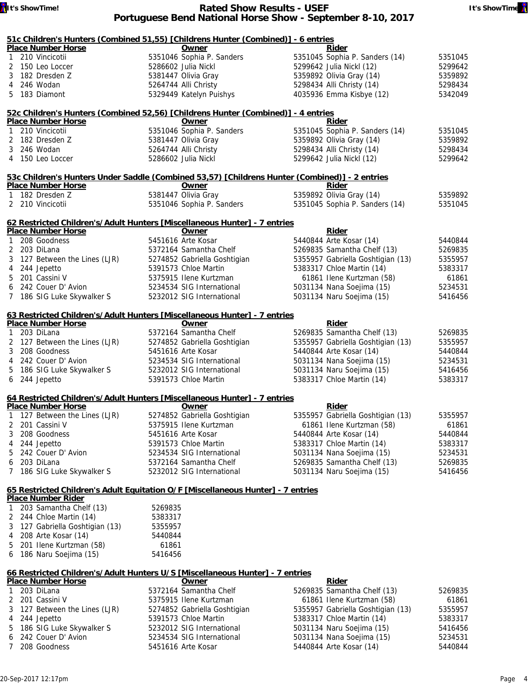#### **It's ShowTime! Rated Show Results - USEF It's ShowTime! Portuguese Bend National Horse Show - September 8-10, 2017**

|                | 51c Children's Hunters (Combined 51,55) [Childrens Hunter (Combined)] - 6 entries              |         |                              |                                   |         |
|----------------|------------------------------------------------------------------------------------------------|---------|------------------------------|-----------------------------------|---------|
|                | <b>Place Number Horse</b>                                                                      |         | Owner                        | Rider                             |         |
| $\mathbf{1}$   | 210 Vincicotii                                                                                 |         | 5351046 Sophia P. Sanders    | 5351045 Sophia P. Sanders (14)    | 5351045 |
|                | 2 150 Leo Loccer                                                                               |         | 5286602 Julia Nickl          | 5299642 Julia Nickl (12)          | 5299642 |
| 3              | 182 Dresden Z                                                                                  |         | 5381447 Olivia Gray          | 5359892 Olivia Gray (14)          | 5359892 |
| 4              | 246 Wodan                                                                                      |         | 5264744 Alli Christy         | 5298434 Alli Christy (14)         | 5298434 |
|                | 5 183 Diamont                                                                                  |         | 5329449 Katelyn Puishys      | 4035936 Emma Kisbye (12)          | 5342049 |
|                | 52c Children's Hunters (Combined 52,56) [Childrens Hunter (Combined)] - 4 entries              |         |                              |                                   |         |
|                | <b>Place Number Horse</b>                                                                      |         | Owner                        | Rider                             |         |
| $\mathbf{1}$   | 210 Vincicotii                                                                                 |         | 5351046 Sophia P. Sanders    | 5351045 Sophia P. Sanders (14)    | 5351045 |
|                | 2 182 Dresden Z                                                                                |         | 5381447 Olivia Gray          | 5359892 Olivia Gray (14)          | 5359892 |
|                | 3 246 Wodan                                                                                    |         | 5264744 Alli Christy         | 5298434 Alli Christy (14)         | 5298434 |
|                | 4 150 Leo Loccer                                                                               |         | 5286602 Julia Nickl          | 5299642 Julia Nickl (12)          | 5299642 |
|                | 53c Children's Hunters Under Saddle (Combined 53,57) [Childrens Hunter (Combined)] - 2 entries |         |                              |                                   |         |
|                | <b>Place Number Horse</b>                                                                      |         | Owner                        | Rider                             |         |
| 1              | 182 Dresden Z                                                                                  |         | 5381447 Olivia Gray          | 5359892 Olivia Gray (14)          | 5359892 |
|                | 2 210 Vincicotii                                                                               |         | 5351046 Sophia P. Sanders    | 5351045 Sophia P. Sanders (14)    | 5351045 |
|                | 62 Restricted Children's/Adult Hunters [Miscellaneous Hunter] - 7 entries                      |         |                              |                                   |         |
|                | <b>Place Number Horse</b>                                                                      |         | Owner                        | <b>Rider</b>                      |         |
| 1              | 208 Goodness                                                                                   |         | 5451616 Arte Kosar           | 5440844 Arte Kosar (14)           | 5440844 |
|                | 2 203 DiLana                                                                                   |         | 5372164 Samantha Chelf       | 5269835 Samantha Chelf (13)       | 5269835 |
| 3              | 127 Between the Lines (LJR)                                                                    |         | 5274852 Gabriella Goshtigian | 5355957 Gabriella Goshtigian (13) | 5355957 |
| 4              | 244 Jepetto                                                                                    |         | 5391573 Chloe Martin         | 5383317 Chloe Martin (14)         | 5383317 |
| 5              | 201 Cassini V                                                                                  |         | 5375915 Ilene Kurtzman       | 61861 Ilene Kurtzman (58)         | 61861   |
| 6              | 242 Couer D' Avion                                                                             |         | 5234534 SIG International    | 5031134 Nana Soejima (15)         | 5234531 |
|                | 7 186 SIG Luke Skywalker S                                                                     |         | 5232012 SIG International    | 5031134 Naru Soejima (15)         | 5416456 |
|                |                                                                                                |         |                              |                                   |         |
|                | 63 Restricted Children's/Adult Hunters [Miscellaneous Hunter] - 7 entries                      |         |                              |                                   |         |
|                | <b>Place Number Horse</b>                                                                      |         | Owner                        | <b>Rider</b>                      |         |
| $\mathbf{1}$   | 203 DiLana                                                                                     |         | 5372164 Samantha Chelf       | 5269835 Samantha Chelf (13)       | 5269835 |
|                | 2 127 Between the Lines (LJR)                                                                  |         | 5274852 Gabriella Goshtigian | 5355957 Gabriella Goshtigian (13) | 5355957 |
| 3              | 208 Goodness                                                                                   |         | 5451616 Arte Kosar           | 5440844 Arte Kosar (14)           | 5440844 |
| 4              | 242 Couer D' Avion                                                                             |         | 5234534 SIG International    | 5031134 Nana Soejima (15)         | 5234531 |
| 5              | 186 SIG Luke Skywalker S                                                                       |         | 5232012 SIG International    | 5031134 Naru Soejima (15)         | 5416456 |
| 6              | 244 Jepetto                                                                                    |         | 5391573 Chloe Martin         | 5383317 Chloe Martin (14)         | 5383317 |
|                | 64 Restricted Children's/Adult Hunters [Miscellaneous Hunter] - 7 entries                      |         |                              |                                   |         |
|                | <b>Place Number Horse</b>                                                                      |         | Owner                        | Rider                             |         |
|                | 1 127 Between the Lines (LJR)                                                                  |         | 5274852 Gabriella Goshtigian | 5355957 Gabriella Goshtigian (13) | 5355957 |
| 2              | 201 Cassini V                                                                                  |         | 5375915 Ilene Kurtzman       | 61861 Ilene Kurtzman (58)         | 61861   |
| 3              | 208 Goodness                                                                                   |         | 5451616 Arte Kosar           | 5440844 Arte Kosar (14)           | 5440844 |
| 4              | 244 Jepetto                                                                                    |         | 5391573 Chloe Martin         | 5383317 Chloe Martin (14)         | 5383317 |
| 5              | 242 Couer D' Avion                                                                             |         | 5234534 SIG International    | 5031134 Nana Soejima (15)         | 5234531 |
| 6              | 203 DiLana                                                                                     |         | 5372164 Samantha Chelf       | 5269835 Samantha Chelf (13)       | 5269835 |
| 7              | 186 SIG Luke Skywalker S                                                                       |         | 5232012 SIG International    | 5031134 Naru Soejima (15)         | 5416456 |
|                | 65 Restricted Children's Adult Equitation O/F [Miscellaneous Hunter] - 7 entries               |         |                              |                                   |         |
|                | <b>Place Number Rider</b>                                                                      |         |                              |                                   |         |
| 1              | 203 Samantha Chelf (13)                                                                        | 5269835 |                              |                                   |         |
|                | 2 244 Chloe Martin (14)                                                                        | 5383317 |                              |                                   |         |
| 3              | 127 Gabriella Goshtigian (13)                                                                  | 5355957 |                              |                                   |         |
| 4              | 208 Arte Kosar (14)                                                                            | 5440844 |                              |                                   |         |
| 5              | 201 Ilene Kurtzman (58)                                                                        | 61861   |                              |                                   |         |
| 6              | 186 Naru Soejima (15)                                                                          | 5416456 |                              |                                   |         |
|                | 66 Restricted Children's/Adult Hunters U/S [Miscellaneous Hunter] - 7 entries                  |         |                              |                                   |         |
|                | <b>Place Number Horse</b>                                                                      |         | Owner                        | Rider                             |         |
| 1              | 203 DiLana                                                                                     |         | 5372164 Samantha Chelf       | 5269835 Samantha Chelf (13)       | 5269835 |
| 2              | 201 Cassini V                                                                                  |         | 5375915 Ilene Kurtzman       | 61861 Ilene Kurtzman (58)         | 61861   |
| 3              | 127 Between the Lines (LJR)                                                                    |         | 5274852 Gabriella Goshtigian | 5355957 Gabriella Goshtigian (13) | 5355957 |
| 4              | 244 Jepetto                                                                                    |         | 5391573 Chloe Martin         | 5383317 Chloe Martin (14)         | 5383317 |
| 5              | 186 SIG Luke Skywalker S                                                                       |         | 5232012 SIG International    | 5031134 Naru Soejima (15)         | 5416456 |
| 6              | 242 Couer D' Avion                                                                             |         | 5234534 SIG International    | 5031134 Nana Soejima (15)         | 5234531 |
| $\overline{7}$ | 208 Goodness                                                                                   |         | 5451616 Arte Kosar           | 5440844 Arte Kosar (14)           | 5440844 |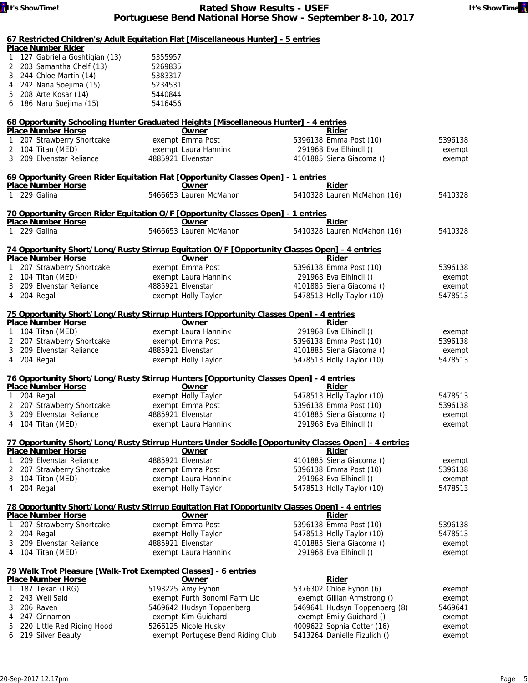#### **67 Restricted Children's/Adult Equitation Flat [Miscellaneous Hunter] - 5 entries Place Number Rider** 1 127 Gabriella Goshtigian (13) 5355957 2 203 Samantha Chelf (13) 5269835 3 244 Chloe Martin (14) 5383317 4 242 Nana Soejima (15) 5234531 5 208 Arte Kosar (14) 5440844 6 186 Naru Soejima (15) 5416456 **68 Opportunity Schooling Hunter Graduated Heights [Miscellaneous Hunter] - 4 entries Place Number Horse Community Community Community Community Community Community Community Community Community Rider** 1 207 Strawberry Shortcake exempt Emma Post 5396138 Emma Post (10) 5396138 2 104 Titan (MED) exempt Laura Hannink 291968 Eva Elhincll () exempt 3 209 Elvenstar Reliance 4885921 Elvenstar 4101885 Siena Giacoma () exempt **69 Opportunity Green Rider Equitation Flat [Opportunity Classes Open] - 1 entries Place Number Horse Community Owner** 1 229 Galina 5466653 Lauren McMahon 5410328 Lauren McMahon (16) 5410328 **70 Opportunity Green Rider Equitation O/F [Opportunity Classes Open] - 1 entries Place Number Horse Community** 1 229 Galina 5466653 Lauren McMahon 5410328 Lauren McMahon (16) 5410328 **74 Opportunity Short/Long/Rusty Stirrup Equitation O/F [Opportunity Classes Open] - 4 entries Place Number Horse Company of Company Company Place Company Rider** 1 207 Strawberry Shortcake exempt Emma Post 5396138 Emma Post (10) 5396138 2 104 Titan (MED) exempt Laura Hannink 291968 Eva Elhincll () exempt 3 209 Elvenstar Reliance 4885921 Elvenstar 4101885 Siena Giacoma () exempt 4 204 Regal exempt Holly Taylor 5478513 Holly Taylor (10) 5478513 **75 Opportunity Short/Long/Rusty Stirrup Hunters [Opportunity Classes Open] - 4 entries Place Number Horse Community Community Community Community Community Community Community Community Community Community Rider** 1 104 Titan (MED) exempt Laura Hannink 291968 Eva Elhincll () exempt 2 207 Strawberry Shortcake exempt Emma Post 5396138 Emma Post (10) 5396138 3 209 Elvenstar Reliance 4885921 Elvenstar 4101885 Siena Giacoma () exempt 4 204 Regal exempt Holly Taylor 5478513 Holly Taylor (10) 5478513 **76 Opportunity Short/Long/Rusty Stirrup Hunters [Opportunity Classes Open] - 4 entries Place Number Horse Community Community Community Community Community Community Community Community Community Community Rider** 1 204 Regal exempt Holly Taylor 5478513 Holly Taylor (10) 5478513 2 207 Strawberry Shortcake exempt Emma Post 5396138 Emma Post (10) 5396138 3 209 Elvenstar Reliance 4885921 Elvenstar 4101885 Siena Giacoma () exempt 4 104 Titan (MED) exempt Laura Hannink 291968 Eva Elhincll () exempt **77 Opportunity Short/Long/Rusty Stirrup Hunters Under Saddle [Opportunity Classes Open] - 4 entries Place Number Horse Community Community Community Community Community Community Community Community Community Community Rider** 1 209 Elvenstar Reliance 4885921 Elvenstar 4101885 Siena Giacoma () exempt 2 207 Strawberry Shortcake exempt Emma Post 5396138 Emma Post (10) 5396138 3 104 Titan (MED) exempt Laura Hannink 291968 Eva Elhincll () exempt 4 204 Regal **Exempt Holly Taylor 19478513 Holly Taylor** 5478513 Holly Taylor (10) 5478513 **78 Opportunity Short/Long/Rusty Stirrup Equitation Flat [Opportunity Classes Open] - 4 entries Place Number Horse Community Community Community Community Community Community Community Community Community Community Rider** 1 207 Strawberry Shortcake exempt Emma Post 5396138 Emma Post (10) 5396138 2 204 Regal **Exempt Holly Taylor** 65478513 Holly Taylor (10) 5478513 3 209 Elvenstar Reliance 4885921 Elvenstar 4101885 Siena Giacoma () exempt 4 104 Titan (MED) exempt Laura Hannink 291968 Eva Elhincll () exempt **79 Walk Trot Pleasure [Walk-Trot Exempted Classes] - 6 entries Place Number Horse COMPANY COMPANY COMPANY COMPANY Rider** 1 187 Texan (LRG) 5193225 Amy Eynon 5376302 Chloe Eynon (6) exempt 2 243 Well Said exempt Furth Bonomi Farm Llc exempt Gillian Armstrong () exempt 3 206 Raven 5469642 Hudsyn Toppenberg 5469641 Hudsyn Toppenberg (8) 5469641 4 247 Cinnamon exempt Kim Guichard exempt Emily Guichard () exempt 5 220 Little Red Riding Hood 5266125 Nicole Husky 4009622 Sophia Cotter (16) exempt 6 219 Silver Beauty exempt Portugese Bend Riding Club 5413264 Danielle Fizulich () exempt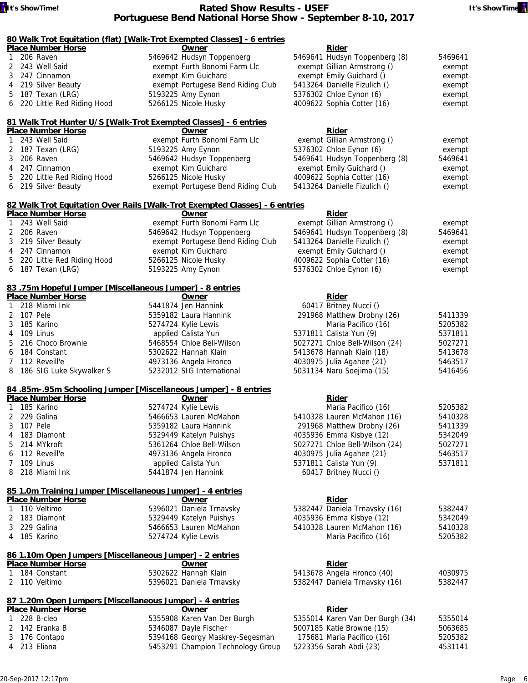### **80 Walk Trot Equitation (flat) [Walk-Trot Exempted Classes] - 6 entries**

| <b>Place Number Horse</b>    | Owner                             | Rider                         |         |
|------------------------------|-----------------------------------|-------------------------------|---------|
| 1 206 Raven                  | 5469642 Hudsyn Toppenberg         | 5469641 Hudsyn Toppenberg (8) | 5469641 |
| 2 243 Well Said              | exempt Furth Bonomi Farm Llc      | exempt Gillian Armstrong ()   | exempt  |
| 3 247 Cinnamon               | exempt Kim Guichard               | exempt Emily Guichard ()      | exempt  |
| 4 219 Silver Beauty          | exempt Portugese Bend Riding Club | 5413264 Danielle Fizulich ()  | exempt  |
| 5 187 Texan (LRG)            | 5193225 Amy Eynon                 | 5376302 Chloe Eynon (6)       | exempt  |
| 6 220 Little Red Riding Hood | 5266125 Nicole Husky              | 4009622 Sophia Cotter (16)    | exempt  |

#### **81 Walk Trot Hunter U/S [Walk-Trot Exempted Classes] - 6 entries Place Number Horse Community Community Community Property Rider**

| <u>Place number Horse</u>    | owner                             | <b>Riger</b>                  |         |
|------------------------------|-----------------------------------|-------------------------------|---------|
| 1 243 Well Said              | exempt Furth Bonomi Farm Llc      | exempt Gillian Armstrong ()   | exempt  |
| 2 187 Texan (LRG)            | 5193225 Amy Eynon                 | 5376302 Chloe Eynon (6)       | exempt  |
| 3 206 Raven                  | 5469642 Hudsyn Toppenberg         | 5469641 Hudsyn Toppenberg (8) | 5469641 |
| 4 247 Cinnamon               | exempt Kim Guichard               | exempt Emily Guichard ()      | exempt  |
| 5 220 Little Red Riding Hood | 5266125 Nicole Husky              | 4009622 Sophia Cotter (16)    | exempt  |
| 6 219 Silver Beauty          | exempt Portugese Bend Riding Club | 5413264 Danielle Fizulich ()  | exempt  |
|                              |                                   |                               |         |

#### **82 Walk Trot Equitation Over Rails [Walk-Trot Exempted Classes] - 6 entries**

| <b>Place Number Horse</b>    | Owner                             | Rider                         |         |
|------------------------------|-----------------------------------|-------------------------------|---------|
| 1 243 Well Said              | exempt Furth Bonomi Farm Llc      | exempt Gillian Armstrong ()   | exempt  |
| 2 206 Raven                  | 5469642 Hudsyn Toppenberg         | 5469641 Hudsyn Toppenberg (8) | 5469641 |
| 3 219 Silver Beauty          | exempt Portugese Bend Riding Club | 5413264 Danielle Fizulich ()  | exempt  |
| 4 247 Cinnamon               | exempt Kim Guichard               | exempt Emily Guichard ()      | exempt  |
| 5 220 Little Red Riding Hood | 5266125 Nicole Husky              | 4009622 Sophia Cotter (16)    | exempt  |
| 6 187 Texan (LRG)            | 5193225 Amy Eynon                 | 5376302 Chloe Eynon (6)       | exempt  |

#### **83 .75m Hopeful Jumper [Miscellaneous Jumper] - 8 entries**

| <b>Place Number Horse</b>  | Owner                     | Rider                          |         |
|----------------------------|---------------------------|--------------------------------|---------|
| 1 218 Miami Ink            | 5441874 Jen Hannink       | 60417 Britney Nucci ()         |         |
| 2 107 Pele                 | 5359182 Laura Hannink     | 291968 Matthew Drobny (26)     | 5411339 |
| 3 185 Karino               | 5274724 Kylie Lewis       | Maria Pacifico (16)            | 5205382 |
| 4 109 Linus                | applied Calista Yun       | 5371811 Calista Yun (9)        | 5371811 |
| 5 216 Choco Brownie        | 5468554 Chloe Bell-Wilson | 5027271 Chloe Bell-Wilson (24) | 5027271 |
| 6 184 Constant             | 5302622 Hannah Klain      | 5413678 Hannah Klain (18)      | 5413678 |
| 7 112 Reveill'e            | 4973136 Angela Hronco     | 4030975 Julia Agahee (21)      | 5463517 |
| 8 186 SIG Luke Skywalker S | 5232012 SIG International | 5031134 Naru Soejima (15)      | 5416456 |

#### **84 .85m-.95m Schooling Jumper [Miscellaneous Jumper] - 8 entries**

| Owner                                                                                                                                                          | Rider                          |         |
|----------------------------------------------------------------------------------------------------------------------------------------------------------------|--------------------------------|---------|
| 5274724 Kylie Lewis                                                                                                                                            | Maria Pacifico (16)            | 5205382 |
| 5466653 Lauren McMahon                                                                                                                                         | 5410328 Lauren McMahon (16)    | 5410328 |
| 5359182 Laura Hannink                                                                                                                                          | 291968 Matthew Drobny (26)     | 5411339 |
| 5329449 Katelyn Puishys                                                                                                                                        | 4035936 Emma Kisbye (12)       | 5342049 |
| 5361264 Chloe Bell-Wilson                                                                                                                                      | 5027271 Chloe Bell-Wilson (24) | 5027271 |
| 4973136 Angela Hronco                                                                                                                                          | 4030975 Julia Agahee (21)      | 5463517 |
| applied Calista Yun                                                                                                                                            | 5371811 Calista Yun (9)        | 5371811 |
| 5441874 Jen Hannink                                                                                                                                            | 60417 Britney Nucci ()         |         |
| <b>Place Number Horse</b><br>1 185 Karino<br>2 229 Galina<br>3 107 Pele<br>4 183 Diamont<br>5 214 MYkroft<br>6 112 Reveill'e<br>7 109 Linus<br>8 218 Miami Ink |                                |         |

## **85 1.0m Training Jumper [Miscellaneous Jumper] - 4 entries**

| 5382447 |
|---------|
| 5342049 |
| 5410328 |
| 5205382 |
|         |

#### **86 1.10m Open Jumpers [Miscellaneous Jumper] - 2 entries Place Number Horse Community Community Community Community Community Community Community Community Rider**

| <u> Have Hannon Horse</u> | $\frac{1}{2}$            |                               |         |
|---------------------------|--------------------------|-------------------------------|---------|
| 1 184 Constant            | 5302622 Hannah Klain     | 5413678 Angela Hronco (40)    | 4030975 |
| 2 110 Veltimo             | 5396021 Daniela Trnavsky | 5382447 Daniela Trnavsky (16) | 5382447 |

#### **87 1.20m Open Jumpers [Miscellaneous Jumper] - 4 entries Place Number Horse Owner Rider**

| Place inditional motive | uwuu                              | <b>RIUCI</b>                     |         |
|-------------------------|-----------------------------------|----------------------------------|---------|
| 1 228 B-cleo            | 5355908 Karen Van Der Burgh       | 5355014 Karen Van Der Burgh (34) | 5355014 |
| 2 142 Eranka B          | 5346087 Dayle Fischer             | 5007185 Katie Browne (15)        | 5063685 |
| 3 176 Contapo           | 5394168 Georgy Maskrey-Segesman   | 175681 Maria Pacifico (16)       | 5205382 |
| 4 213 Eliana            | 5453291 Champion Technology Group | 5223356 Sarah Abdi (23)          | 4531141 |
|                         |                                   |                                  |         |

| 291968 Matthew Drobny (26)     | 5411339 |
|--------------------------------|---------|
| Maria Pacifico (16)            | 5205382 |
| 5371811 Calista Yun (9)        | 5371811 |
| 5027271 Chloe Bell-Wilson (24) | 502727  |
| 5413678 Hannah Klain (18)      | 5413678 |
| 4030975 Julia Agahee (21)      | 5463517 |
| 5031134 Naru Soejima (15)      | 5416456 |
|                                |         |
|                                |         |
| n:                             |         |

| <b>RIUCI</b>               |
|----------------------------|
| 3678 Angela Hronco (40)    |
| 2447 Daniela Trnavsky (16) |

|  | .                                |         |
|--|----------------------------------|---------|
|  | 5355014 Karen Van Der Burgh (34) | 535501  |
|  | 5007185 Katie Browne (15)        | 506368  |
|  | 175681 Maria Pacifico (16)       | 5205382 |
|  | 5223356 Sarah Abdi (23)          | 453114  |
|  |                                  |         |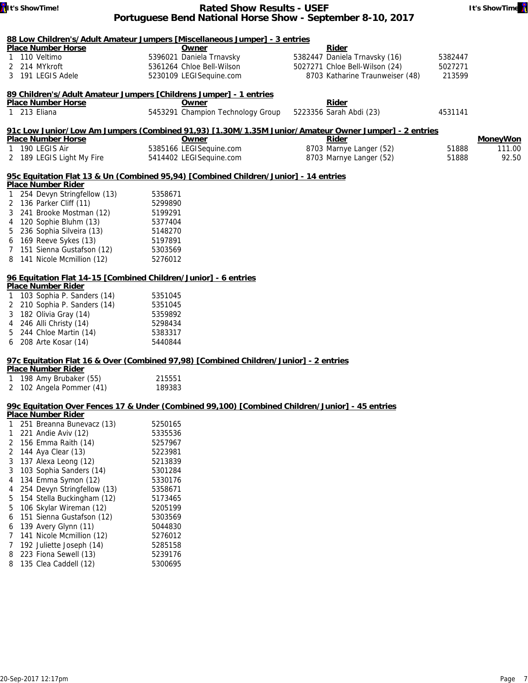

| It's ShowTime!                                                  | <b>Rated Show Results - USEF</b>                                                                     |                                 | It's ShowTime   |
|-----------------------------------------------------------------|------------------------------------------------------------------------------------------------------|---------------------------------|-----------------|
|                                                                 | Portuguese Bend National Horse Show - September 8-10, 2017                                           |                                 |                 |
|                                                                 |                                                                                                      |                                 |                 |
| <b>Place Number Horse</b>                                       | 88 Low Children's/Adult Amateur Jumpers [Miscellaneous Jumper] - 3 entries<br>Owner                  | Rider                           |                 |
| 110 Veltimo                                                     | 5396021 Daniela Trnavsky                                                                             | 5382447 Daniela Trnavsky (16)   | 5382447         |
| 214 MYkroft<br>2                                                | 5361264 Chloe Bell-Wilson                                                                            | 5027271 Chloe Bell-Wilson (24)  | 5027271         |
| 3 191 LEGIS Adele                                               | 5230109 LEGISequine.com                                                                              | 8703 Katharine Traunweiser (48) | 213599          |
|                                                                 | 89 Children's/Adult Amateur Jumpers [Childrens Jumper] - 1 entries                                   |                                 |                 |
| <b>Place Number Horse</b>                                       | Owner                                                                                                | Rider                           |                 |
| 1 213 Eliana                                                    | 5453291 Champion Technology Group                                                                    | 5223356 Sarah Abdi (23)         | 4531141         |
|                                                                 | 91c Low Junior/Low Am Jumpers (Combined 91,93) [1.30M/1.35M Junior/Amateur Owner Jumper] - 2 entries |                                 |                 |
| <b>Place Number Horse</b>                                       | <u>Owner</u>                                                                                         | <b>Rider</b>                    | <b>MoneyWon</b> |
| 190 LEGIS Air<br>1                                              | 5385166 LEGISequine.com                                                                              | 8703 Marnye Langer (52)         | 51888<br>111.00 |
| 2 189 LEGIS Light My Fire                                       | 5414402 LEGISequine.com                                                                              | 8703 Marnye Langer (52)         | 92.50<br>51888  |
|                                                                 | 95c Equitation Flat 13 & Un (Combined 95,94) [Combined Children/Junior] - 14 entries                 |                                 |                 |
| <b>Place Number Rider</b>                                       |                                                                                                      |                                 |                 |
| 254 Devyn Stringfellow (13)                                     | 5358671                                                                                              |                                 |                 |
| 2 136 Parker Cliff (11)                                         | 5299890                                                                                              |                                 |                 |
| 241 Brooke Mostman (12)<br>3                                    | 5199291                                                                                              |                                 |                 |
| 120 Sophie Bluhm (13)<br>4                                      | 5377404                                                                                              |                                 |                 |
| 236 Sophia Silveira (13)<br>5                                   | 5148270                                                                                              |                                 |                 |
| 169 Reeve Sykes (13)                                            | 5197891                                                                                              |                                 |                 |
| 151 Sienna Gustafson (12)                                       | 5303569                                                                                              |                                 |                 |
| 141 Nicole Mcmillion (12)                                       | 5276012                                                                                              |                                 |                 |
| 96 Equitation Flat 14-15 [Combined Children/Junior] - 6 entries |                                                                                                      |                                 |                 |
| <b>Place Number Rider</b>                                       |                                                                                                      |                                 |                 |
| 103 Sophia P. Sanders (14)                                      | 5351045                                                                                              |                                 |                 |
| 210 Sophia P. Sanders (14)<br>2                                 | 5351045                                                                                              |                                 |                 |
| 182 Olivia Gray (14)<br>3                                       | 5359892                                                                                              |                                 |                 |
| 246 Alli Christy (14)<br>4                                      | 5298434                                                                                              |                                 |                 |
| 244 Chloe Martin (14)                                           | 5383317                                                                                              |                                 |                 |
| 208 Arte Kosar (14)                                             | 5440844                                                                                              |                                 |                 |
|                                                                 | 97c Equitation Flat 16 & Over (Combined 97,98) [Combined Children/Junior] - 2 entries                |                                 |                 |
| <b>Place Number Rider</b>                                       |                                                                                                      |                                 |                 |
| 198 Amy Brubaker (55)<br>1                                      | 215551                                                                                               |                                 |                 |
| 2 102 Angela Pommer (41)                                        | 189383                                                                                               |                                 |                 |
|                                                                 | 99c Equitation Over Fences 17 & Under (Combined 99,100) [Combined Children/Junior] - 45 entries      |                                 |                 |
| <b>Place Number Rider</b>                                       |                                                                                                      |                                 |                 |
| 251 Breanna Bunevacz (13)                                       | 5250165                                                                                              |                                 |                 |
| 221 Andie Aviv (12)<br>1                                        | 5335536                                                                                              |                                 |                 |
| 2 156 Emma Raith (14)                                           | 5257967                                                                                              |                                 |                 |
| 144 Aya Clear (13)<br>2                                         | 5223981                                                                                              |                                 |                 |
| 137 Alexa Leong (12)<br>3                                       | 5213839                                                                                              |                                 |                 |
| 103 Sophia Sanders (14)<br>3                                    | 5301284                                                                                              |                                 |                 |
| 134 Emma Symon (12)<br>4                                        | 5330176                                                                                              |                                 |                 |
| 254 Devyn Stringfellow (13)<br>4                                | 5358671                                                                                              |                                 |                 |
| 154 Stella Buckingham (12)<br>5                                 | 5173465                                                                                              |                                 |                 |
| 106 Skylar Wireman (12)<br>5                                    | 5205199                                                                                              |                                 |                 |

## 6 151 Sienna Gustafson (12) 5303569

6 139 Avery Glynn (11) 5044830 7 141 Nicole Mcmillion (12) 5276012 7 192 Juliette Joseph (14) 5285158 8 223 Fiona Sewell (13)

8 135 Clea Caddell (12) 5300695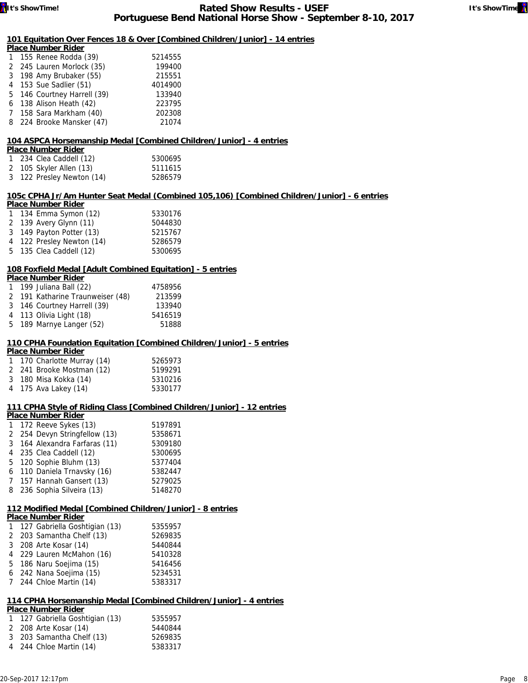## **101 Equitation Over Fences 18 & Over [Combined Children/Junior] - 14 entries**

| <b>Place Number Rider</b>   |         |
|-----------------------------|---------|
| 1 155 Renee Rodda (39)      | 5214555 |
| 2 245 Lauren Morlock (35)   | 199400  |
| 3 198 Amy Brubaker (55)     | 215551  |
| 4 153 Sue Sadlier (51)      | 4014900 |
| 5 146 Courtney Harrell (39) | 133940  |
| 6 138 Alison Heath (42)     | 223795  |
| 7 158 Sara Markham (40)     | 202308  |
| 8 224 Brooke Mansker (47)   | 21074   |

## **104 ASPCA Horsemanship Medal [Combined Children/Junior] - 4 entries**

#### **Place Number Rider**

| 1 234 Clea Caddell (12)   | 5300695 |
|---------------------------|---------|
| 2 105 Skyler Allen (13)   | 5111615 |
| 3 122 Presley Newton (14) | 5286579 |

#### **105c CPHA Jr/Am Hunter Seat Medal (Combined 105,106) [Combined Children/Junior] - 6 entries Place Number Rider**

| Place Number Rider        |         |
|---------------------------|---------|
| 1 134 Emma Symon (12)     | 5330176 |
| 2 139 Avery Glynn (11)    | 5044830 |
| 3 149 Payton Potter (13)  | 5215767 |
| 4 122 Presley Newton (14) | 5286579 |
| 5 135 Clea Caddell (12)   | 5300695 |

## **108 Foxfield Medal [Adult Combined Equitation] - 5 entries**

| Place Number Rider |  |  |  |          |  |
|--------------------|--|--|--|----------|--|
| .                  |  |  |  | $-11/22$ |  |

| 1 199 Juliana Ball (22)          | 4758956 |
|----------------------------------|---------|
| 2 191 Katharine Traunweiser (48) | 213599  |
| 3 146 Courtney Harrell (39)      | 133940  |
| 4 113 Olivia Light (18)          | 5416519 |
| 5 189 Marnye Langer (52)         | 51888   |

# **110 CPHA Foundation Equitation [Combined Children/Junior] - 5 entries**

| <b>Place Number Rider</b>   |         |
|-----------------------------|---------|
| 1 170 Charlotte Murray (14) | 5265973 |
| 2 241 Brooke Mostman (12)   | 5199291 |
| 3 180 Misa Kokka (14)       | 5310216 |
| 4 175 Ava Lakey (14)        | 5330177 |

## **111 CPHA Style of Riding Class [Combined Children/Junior] - 12 entries**

#### **Place Number Rider**

| 1 172 Reeve Sykes (13)        | 5197891 |
|-------------------------------|---------|
| 2 254 Devyn Stringfellow (13) | 5358671 |
| 3 164 Alexandra Farfaras (11) | 5309180 |
| 4 235 Clea Caddell (12)       | 5300695 |
| 5 120 Sophie Bluhm (13)       | 5377404 |
| 6 110 Daniela Trnavsky (16)   | 5382447 |
| 7 157 Hannah Gansert (13)     | 5279025 |
| 8 236 Sophia Silveira (13)    | 5148270 |
|                               |         |

# **112 Modified Medal [Combined Children/Junior] - 8 entries**

|  | <b>Place Number Rider</b>       |         |
|--|---------------------------------|---------|
|  | 1 127 Gabriella Goshtigian (13) | 5355957 |
|  | 2 203 Samantha Chelf (13)       | 5269835 |
|  | 3 208 Arte Kosar (14)           | 5440844 |
|  | 4 229 Lauren McMahon (16)       | 5410328 |
|  | 5 186 Naru Soejima (15)         | 5416456 |
|  | 6 242 Nana Soejima (15)         | 5234531 |
|  | 7 244 Chloe Martin (14)         | 5383317 |

# **114 CPHA Horsemanship Medal [Combined Children/Junior] - 4 entries**

| <b>Place Number Rider</b>       |         |
|---------------------------------|---------|
| 1 127 Gabriella Goshtigian (13) | 5355957 |
| 2 208 Arte Kosar (14)           | 5440844 |
| 3 203 Samantha Chelf (13)       | 5269835 |
| 4 244 Chloe Martin (14)         | 5383317 |
|                                 |         |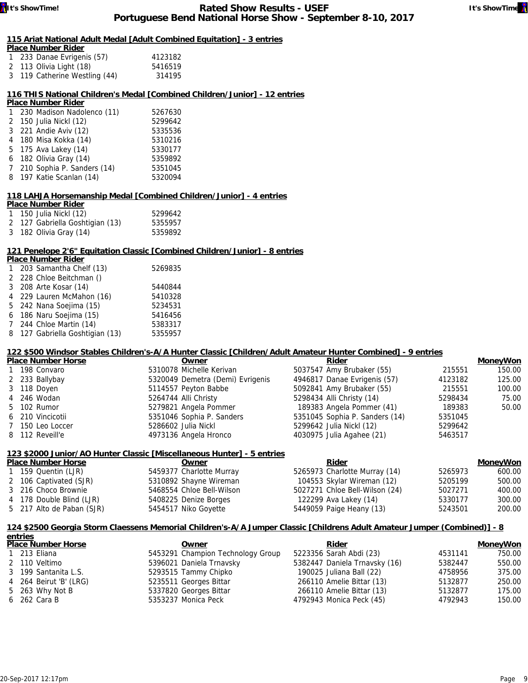## **115 Ariat National Adult Medal [Adult Combined Equitation] - 3 entries**

| <b>Place Number Rider</b>     |         |
|-------------------------------|---------|
| 1 233 Danae Evrigenis (57)    | 4123182 |
| 2 113 Olivia Light (18)       | 5416519 |
| 3 119 Catherine Westling (44) | 314195  |

## **116 THIS National Children's Medal [Combined Children/Junior] - 12 entries**

#### **Place Number Rider**

| 5267630 |
|---------|
| 5299642 |
| 5335536 |
| 5310216 |
| 5330177 |
| 5359892 |
| 5351045 |
| 5320094 |
|         |

## **118 LAHJA Horsemanship Medal [Combined Children/Junior] - 4 entries**

# **Place Number Rider**

| 1 150 Julia Nickl (12)          | 5299642 |
|---------------------------------|---------|
| 2 127 Gabriella Goshtigian (13) | 5355957 |
| 3 182 Olivia Gray (14)          | 5359892 |

## **121 Penelope 2'6" Equitation Classic [Combined Children/Junior] - 8 entries**

| <b>Place Number Rider</b> |                                 |         |  |  |  |
|---------------------------|---------------------------------|---------|--|--|--|
|                           | 203 Samantha Chelf (13)         | 5269835 |  |  |  |
|                           | 2 228 Chloe Beitchman ()        |         |  |  |  |
|                           | 3 208 Arte Kosar (14)           | 5440844 |  |  |  |
|                           | 4 229 Lauren McMahon (16)       | 5410328 |  |  |  |
|                           | 5 242 Nana Soejima (15)         | 5234531 |  |  |  |
|                           | 6 186 Naru Soejima (15)         | 5416456 |  |  |  |
|                           | 7 244 Chloe Martin (14)         | 5383317 |  |  |  |
|                           | 8 127 Gabriella Goshtigian (13) | 5355957 |  |  |  |

## **122 \$500 Windsor Stables Children's-A/A Hunter Classic [Children/Adult Amateur Hunter Combined] - 9 entries**

| <b>Place Number Horse</b> | Owner                            | Rider                          |         | <b>MoneyWon</b> |
|---------------------------|----------------------------------|--------------------------------|---------|-----------------|
| 1 198 Convaro             | 5310078 Michelle Kerivan         | 5037547 Amy Brubaker (55)      | 215551  | 150.00          |
| 2 233 Ballybay            | 5320049 Demetra (Demi) Evrigenis | 4946817 Danae Evrigenis (57)   | 4123182 | 125.00          |
| 3 118 Doyen               | 5114557 Peyton Babbe             | 5092841 Amy Brubaker (55)      | 215551  | 100.00          |
| 4 246 Wodan               | 5264744 Alli Christy             | 5298434 Alli Christy (14)      | 5298434 | 75.00           |
| 5 102 Rumor               | 5279821 Angela Pommer            | 189383 Angela Pommer (41)      | 189383  | 50.00           |
| 6 210 Vincicotii          | 5351046 Sophia P. Sanders        | 5351045 Sophia P. Sanders (14) | 5351045 |                 |
| 7 150 Leo Loccer          | 5286602 Julia Nickl              | 5299642 Julia Nickl (12)       | 5299642 |                 |
| 8 112 Reveill'e           | 4973136 Angela Hronco            | 4030975 Julia Agahee (21)      | 5463517 |                 |
|                           |                                  |                                |         |                 |

| 123 \$2000 Junior/AO Hunter Classic [Miscellaneous Hunter] - 5 entries |                           |                                |         |                 |  |
|------------------------------------------------------------------------|---------------------------|--------------------------------|---------|-----------------|--|
| <b>Place Number Horse</b>                                              | Owner                     | Rider                          |         | <b>MoneyWon</b> |  |
| 1 159 Quentin (LJR)                                                    | 5459377 Charlotte Murray  | 5265973 Charlotte Murray (14)  | 5265973 | 600.00          |  |
| 2 106 Captivated (SJR)                                                 | 5310892 Shayne Wireman    | 104553 Skylar Wireman (12)     | 5205199 | 500.00          |  |
| 3 216 Choco Brownie                                                    | 5468554 Chloe Bell-Wilson | 5027271 Chloe Bell-Wilson (24) | 5027271 | 400.00          |  |
| 4 178 Double Blind (LJR)                                               | 5408225 Denize Borges     | 122299 Ava Lakey (14)          | 5330177 | 300.00          |  |
| 5 217 Alto de Paban (SJR)                                              | 5454517 Niko Goyette      | 5449059 Paige Heany (13)       | 5243501 | 200.00          |  |

## **124 \$2500 Georgia Storm Claessens Memorial Children's-A/A Jumper Classic [Childrens Adult Amateur Jumper (Combined)] - 8**

| entries                   |  |                                   |  |                               |         |          |
|---------------------------|--|-----------------------------------|--|-------------------------------|---------|----------|
| <b>Place Number Horse</b> |  | Owner                             |  | Rider                         |         | MoneyWon |
| 1 213 Eliana              |  | 5453291 Champion Technology Group |  | 5223356 Sarah Abdi (23)       | 4531141 | 750.00   |
| 2 110 Veltimo             |  | 5396021 Daniela Trnavsky          |  | 5382447 Daniela Trnavsky (16) | 5382447 | 550.00   |
| 3 199 Santanita L.S.      |  | 5293515 Tammy Chipko              |  | 190025 Juliana Ball (22)      | 4758956 | 375.00   |
| 4 264 Beirut 'B' (LRG)    |  | 5235511 Georges Bittar            |  | 266110 Amelie Bittar (13)     | 5132877 | 250.00   |
| 5 263 Why Not B           |  | 5337820 Georges Bittar            |  | 266110 Amelie Bittar (13)     | 5132877 | 175.00   |
| 6 262 Cara B              |  | 5353237 Monica Peck               |  | 4792943 Monica Peck (45)      | 4792943 | 150.00   |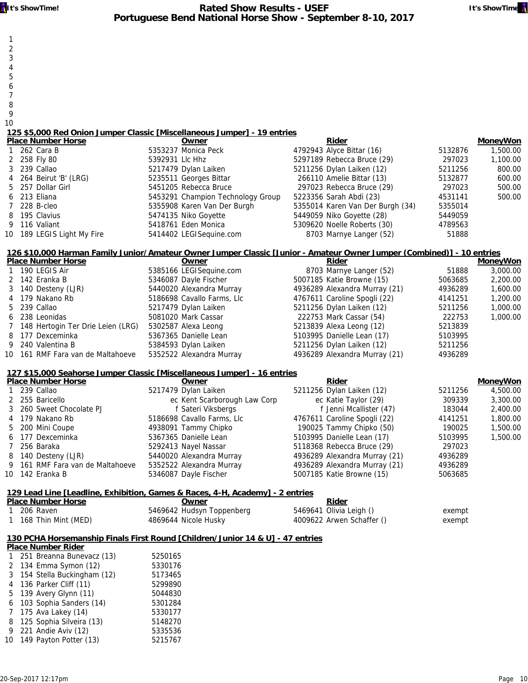- 1 2
- 3
- 4
- 5
- 6
- 7
- 8
- 9 10
- **125 \$5,000 Red Onion Jumper Classic [Miscellaneous Jumper] 19 entries**

| <b>Place Number Horse</b>  |                 | Owner                             | Rider                            |         | <b>MoneyWon</b> |
|----------------------------|-----------------|-----------------------------------|----------------------------------|---------|-----------------|
| 1 262 Cara B               |                 | 5353237 Monica Peck               | 4792943 Alyce Bittar (16)        | 5132876 | 1,500.00        |
| 2 258 Fly 80               | 5392931 Llc Hhz |                                   | 5297189 Rebecca Bruce (29)       | 297023  | 1,100.00        |
| 3 239 Callao               |                 | 5217479 Dylan Laiken              | 5211256 Dylan Laiken (12)        | 5211256 | 800.00          |
| 4 264 Beirut 'B' (LRG)     |                 | 5235511 Georges Bittar            | 266110 Amelie Bittar (13)        | 5132877 | 600.00          |
| 5 257 Dollar Girl          |                 | 5451205 Rebecca Bruce             | 297023 Rebecca Bruce (29)        | 297023  | 500.00          |
| 6 213 Eliana               |                 | 5453291 Champion Technology Group | 5223356 Sarah Abdi (23)          | 4531141 | 500.00          |
| 7 228 B-cleo               |                 | 5355908 Karen Van Der Burgh       | 5355014 Karen Van Der Burgh (34) | 5355014 |                 |
| 8 195 Clavius              |                 | 5474135 Niko Goyette              | 5449059 Niko Goyette (28)        | 5449059 |                 |
| 9 116 Valiant              |                 | 5418761 Eden Monica               | 5309620 Noelle Roberts (30)      | 4789563 |                 |
| 10 189 LEGIS Light My Fire |                 | 5414402 LEGISequine.com           | 8703 Marnye Langer (52)          | 51888   |                 |

## **126 \$10,000 Harman Family Junior/Amateur Owner Jumper Classic [Junior - Amateur Owner Jumper (Combined)] - 10 entries**

| <b>Place Number Horse</b>           | Owner                      | Rider                         |         | <b>MoneyWon</b>                                                                                                                                                                                                                                                                               |
|-------------------------------------|----------------------------|-------------------------------|---------|-----------------------------------------------------------------------------------------------------------------------------------------------------------------------------------------------------------------------------------------------------------------------------------------------|
| 1 190 LEGIS Air                     | 5385166 LEGISequine.com    | 8703 Marnye Langer (52)       | 51888   | 3,000.00                                                                                                                                                                                                                                                                                      |
| 2 142 Eranka B                      | 5346087 Dayle Fischer      | 5007185 Katie Browne (15)     | 5063685 | 2,200.00                                                                                                                                                                                                                                                                                      |
| 3 140 Desteny (LJR)                 | 5440020 Alexandra Murray   | 4936289 Alexandra Murray (21) | 4936289 | 1,600.00                                                                                                                                                                                                                                                                                      |
| 4 179 Nakano Rb                     | 5186698 Cavallo Farms, Llc | 4767611 Caroline Spogli (22)  | 4141251 | 1,200.00                                                                                                                                                                                                                                                                                      |
| 5 239 Callao                        | 5217479 Dylan Laiken       | 5211256 Dylan Laiken (12)     | 5211256 | 1,000.00                                                                                                                                                                                                                                                                                      |
| 6 238 Leonidas                      | 5081020 Mark Cassar        | 222753 Mark Cassar (54)       | 222753  | 1,000.00                                                                                                                                                                                                                                                                                      |
| 7 148 Hertogin Ter Drie Leien (LRG) | 5302587 Alexa Leong        | 5213839 Alexa Leong (12)      | 5213839 |                                                                                                                                                                                                                                                                                               |
| 8 177 Dexceminka                    | 5367365 Danielle Lean      | 5103995 Danielle Lean (17)    | 5103995 |                                                                                                                                                                                                                                                                                               |
| 9 240 Valentina B                   | 5384593 Dylan Laiken       | 5211256 Dylan Laiken (12)     | 5211256 |                                                                                                                                                                                                                                                                                               |
| 10 161 RMF Fara van de Maltahoeve   | 5352522 Alexandra Murray   | 4936289 Alexandra Murray (21) | 4936289 |                                                                                                                                                                                                                                                                                               |
|                                     |                            |                               |         | $\sim$ , $\sim$ , $\sim$ , $\sim$ , $\sim$ , $\sim$ , $\sim$ , $\sim$ , $\sim$ , $\sim$ , $\sim$ , $\sim$ , $\sim$ , $\sim$ , $\sim$ , $\sim$ , $\sim$ , $\sim$ , $\sim$ , $\sim$ , $\sim$ , $\sim$ , $\sim$ , $\sim$ , $\sim$ , $\sim$ , $\sim$ , $\sim$ , $\sim$ , $\sim$ , $\sim$ , $\sim$ |

#### **127 \$15,000 Seahorse Jumper Classic [Miscellaneous Jumper] - 16 entries**

| Owner                                                                                                                                                                                                                                             | Rider                         |         | <b>MoneyWon</b> |
|---------------------------------------------------------------------------------------------------------------------------------------------------------------------------------------------------------------------------------------------------|-------------------------------|---------|-----------------|
| 5217479 Dylan Laiken                                                                                                                                                                                                                              | 5211256 Dylan Laiken (12)     | 5211256 | 4,500.00        |
| ec Kent Scarborough Law Corp                                                                                                                                                                                                                      | ec Katie Taylor (29)          | 309339  | 3,300.00        |
| f Sateri Viksbergs                                                                                                                                                                                                                                | f Jenni Mcallister (47)       | 183044  | 2,400.00        |
| 5186698 Cavallo Farms, Llc                                                                                                                                                                                                                        | 4767611 Caroline Spogli (22)  | 4141251 | 1,800.00        |
| 4938091 Tammy Chipko                                                                                                                                                                                                                              | 190025 Tammy Chipko (50)      | 190025  | 1,500.00        |
| 5367365 Danielle Lean                                                                                                                                                                                                                             | 5103995 Danielle Lean (17)    | 5103995 | 1,500.00        |
| 5292413 Nayel Nassar                                                                                                                                                                                                                              | 5118368 Rebecca Bruce (29)    | 297023  |                 |
| 5440020 Alexandra Murray                                                                                                                                                                                                                          | 4936289 Alexandra Murray (21) | 4936289 |                 |
| 5352522 Alexandra Murray                                                                                                                                                                                                                          | 4936289 Alexandra Murray (21) | 4936289 |                 |
| 5346087 Dayle Fischer                                                                                                                                                                                                                             | 5007185 Katie Browne (15)     | 5063685 |                 |
| <b>Place Number Horse</b><br>1 239 Callao<br>2 255 Baricello<br>3 260 Sweet Chocolate PJ<br>4 179 Nakano Rb<br>5 200 Mini Coupe<br>6 177 Dexceminka<br>7 256 Baraka<br>8 140 Desteny (LJR)<br>9 161 RMF Fara van de Maltahoeve<br>10 142 Eranka B |                               |         |                 |

# **129 Lead Line [Leadline, Exhibition, Games & Races, 4-H, Academy] - 2 entries**

| <b>Place Number Horse</b> | <u> Owner</u>             | <b>Rider</b>              |        |
|---------------------------|---------------------------|---------------------------|--------|
| 1 206 Raven               | 5469642 Hudsyn Toppenberg | 5469641 Olivia Leigh ()   | exempt |
| 1 168 Thin Mint (MED)     | 4869644 Nicole Husky      | 4009622 Arwen Schaffer () | exempt |

## **130 PCHA Horsemanship Finals First Round [Children/Junior 14 & U] - 47 entries**

#### **Place Number Rider**

|              | ו ומטכ ושמוווטכו ולומכו      |         |  |  |  |  |
|--------------|------------------------------|---------|--|--|--|--|
| $\mathbf{1}$ | 251 Breanna Bunevacz (13)    | 5250165 |  |  |  |  |
|              | 2 134 Emma Symon (12)        | 5330176 |  |  |  |  |
|              | 3 154 Stella Buckingham (12) | 5173465 |  |  |  |  |
|              | 4 136 Parker Cliff (11)      | 5299890 |  |  |  |  |
|              | 5 139 Avery Glynn (11)       | 5044830 |  |  |  |  |
|              | 6 103 Sophia Sanders (14)    | 5301284 |  |  |  |  |
|              | 7 175 Ava Lakey (14)         | 5330177 |  |  |  |  |
|              | 8 125 Sophia Silveira (13)   | 5148270 |  |  |  |  |
|              | 9 221 Andie Aviv (12)        | 5335536 |  |  |  |  |
| 10           | 149 Payton Potter (13)       | 5215767 |  |  |  |  |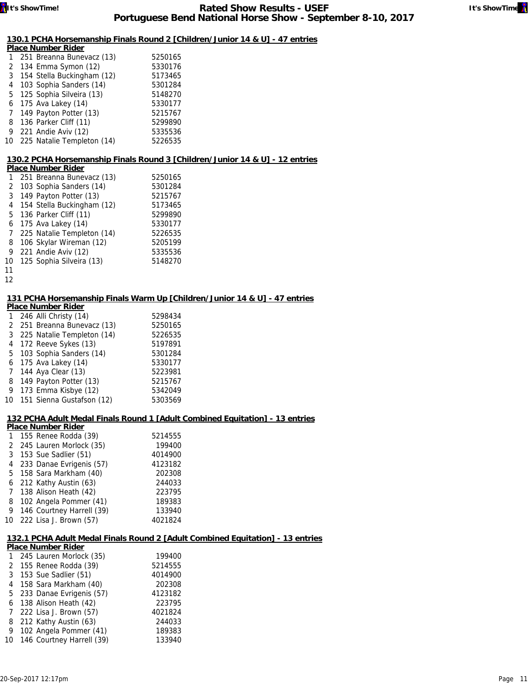

## **130.1 PCHA Horsemanship Finals Round 2 [Children/Junior 14 & U] - 47 entries**

| <b>Place Number Rider</b> |                               |         |  |  |
|---------------------------|-------------------------------|---------|--|--|
|                           | 1 251 Breanna Bunevacz (13)   | 5250165 |  |  |
|                           | 2 134 Emma Symon (12)         | 5330176 |  |  |
|                           | 3 154 Stella Buckingham (12)  | 5173465 |  |  |
|                           | 4 103 Sophia Sanders (14)     | 5301284 |  |  |
|                           | 5 125 Sophia Silveira (13)    | 5148270 |  |  |
|                           | 6 175 Ava Lakey (14)          | 5330177 |  |  |
|                           | 7 149 Payton Potter (13)      | 5215767 |  |  |
|                           | 8 136 Parker Cliff (11)       | 5299890 |  |  |
|                           | 9 221 Andie Aviv (12)         | 5335536 |  |  |
|                           | 10 225 Natalie Templeton (14) | 5226535 |  |  |
|                           |                               |         |  |  |

### **130.2 PCHA Horsemanship Finals Round 3 [Children/Junior 14 & U] - 12 entries**

|              | <b>Place Number Rider</b> |                              |         |  |  |
|--------------|---------------------------|------------------------------|---------|--|--|
| 1            |                           | 251 Breanna Bunevacz (13)    | 5250165 |  |  |
| $\mathbf{2}$ |                           | 103 Sophia Sanders (14)      | 5301284 |  |  |
|              |                           | 3 149 Payton Potter (13)     | 5215767 |  |  |
|              |                           | 4 154 Stella Buckingham (12) | 5173465 |  |  |
|              |                           | 5 136 Parker Cliff (11)      | 5299890 |  |  |
|              |                           | 6 175 Ava Lakey (14)         | 5330177 |  |  |
| 7            |                           | 225 Natalie Templeton (14)   | 5226535 |  |  |
| 8            |                           | 106 Skylar Wireman (12)      | 5205199 |  |  |
|              |                           | 9 221 Andie Aviv (12)        | 5335536 |  |  |
|              |                           | 10 125 Sophia Silveira (13)  | 5148270 |  |  |
| 11           |                           |                              |         |  |  |

12

#### **131 PCHA Horsemanship Finals Warm Up [Children/Junior 14 & U] - 47 entries**

| <b>Place Number Rider</b> |                              |         |  |  |  |
|---------------------------|------------------------------|---------|--|--|--|
|                           | 246 Alli Christy (14)        | 5298434 |  |  |  |
|                           | 2 251 Breanna Bunevacz (13)  | 5250165 |  |  |  |
|                           | 3 225 Natalie Templeton (14) | 5226535 |  |  |  |
| 4                         | 172 Reeve Sykes (13)         | 5197891 |  |  |  |
| 5                         | 103 Sophia Sanders (14)      | 5301284 |  |  |  |
| 6                         | 175 Ava Lakey (14)           | 5330177 |  |  |  |
| 7                         | 144 Aya Clear (13)           | 5223981 |  |  |  |
| 8                         | 149 Payton Potter (13)       | 5215767 |  |  |  |
| 9                         | 173 Emma Kisbye (12)         | 5342049 |  |  |  |
|                           | 10 151 Sienna Gustafson (12) | 5303569 |  |  |  |

#### **132 PCHA Adult Medal Finals Round 1 [Adult Combined Equitation] - 13 entries**

| <b>Place Number Rider</b> |                            |         |  |  |
|---------------------------|----------------------------|---------|--|--|
| $\mathbf{1}$              | 155 Renee Rodda (39)       | 5214555 |  |  |
|                           | 2 245 Lauren Morlock (35)  | 199400  |  |  |
| 3                         | 153 Sue Sadlier (51)       | 4014900 |  |  |
|                           | 4 233 Danae Evrigenis (57) | 4123182 |  |  |
|                           | 5 158 Sara Markham (40)    | 202308  |  |  |
|                           | 6 212 Kathy Austin (63)    | 244033  |  |  |
| $7^{\circ}$               | 138 Alison Heath (42)      | 223795  |  |  |
| 8                         | 102 Angela Pommer (41)     | 189383  |  |  |
| 9                         | 146 Courtney Harrell (39)  | 133940  |  |  |
| 10                        | 222 Lisa J. Brown (57)     | 4021824 |  |  |
|                           |                            |         |  |  |

#### **132.1 PCHA Adult Medal Finals Round 2 [Adult Combined Equitation] - 13 entries**

| <b>Place Number Rider</b> |  |                              |         |  |  |
|---------------------------|--|------------------------------|---------|--|--|
|                           |  | 245 Lauren Morlock (35)      | 199400  |  |  |
|                           |  | 2 155 Renee Rodda (39)       | 5214555 |  |  |
|                           |  | 3 153 Sue Sadlier (51)       | 4014900 |  |  |
|                           |  | 4 158 Sara Markham (40)      | 202308  |  |  |
|                           |  | 5 233 Danae Evrigenis (57)   | 4123182 |  |  |
|                           |  | 6 138 Alison Heath (42)      | 223795  |  |  |
|                           |  | 7 222 Lisa J. Brown (57)     | 4021824 |  |  |
| 8                         |  | 212 Kathy Austin (63)        | 244033  |  |  |
|                           |  | 9 102 Angela Pommer (41)     | 189383  |  |  |
|                           |  | 10 146 Courtney Harrell (39) | 133940  |  |  |